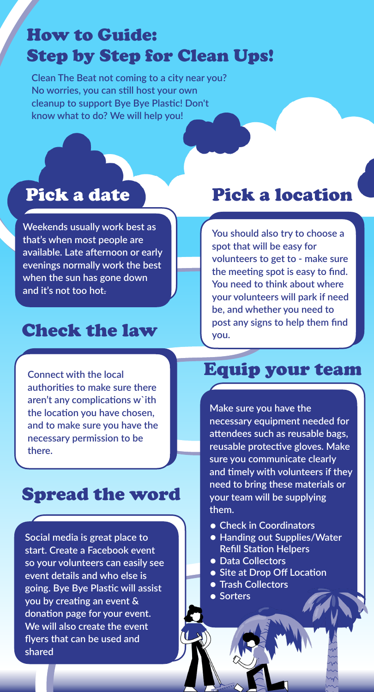## How to Guide: Step by Step for Clean Ups!

### Equip your team

### Spread the word

**Weekends usually work best as that's when most people are available. Late afternoon or early evenings normally work the best when the sun has gone down and it's not too hot.**

### Pick a date Pick a location

**You should also try to choose a spot that will be easy for volunteers to get to - make sure the meeting spot is easy to find. You need to think about where your volunteers will park if need be, and whether you need to post any signs to help them find you.**

**Connect with the local authorities to make sure there aren't any complications w`ith the location you have chosen, and to make sure you have the necessary permission to be there.**

**Clean The Beat not coming to a city near you? No worries, you can still host your own cleanup to support Bye Bye Plastic! Don't know what to do? We will help you!**

## Check the law

**Make sure you have the necessary equipment needed for attendees such as reusable bags, reusable protective gloves. Make sure you communicate clearly and timely with volunteers if they need to bring these materials or your team will be supplying them.**

- **• Check in Coordinators**
- **• Handing out Supplies/Water Refill Station Helpers**
- **• Data Collectors**
- **• Site at Drop Off Location**
- **• Trash Collectors**
- **• Sorters**

**Social media is great place to start. Create a Facebook event so your volunteers can easily see event details and who else is going. Bye Bye Plastic will assist you by creating an event & donation page for your event.** 

### **We will also create the event**

#### **flyers that can be used and**

**shared**